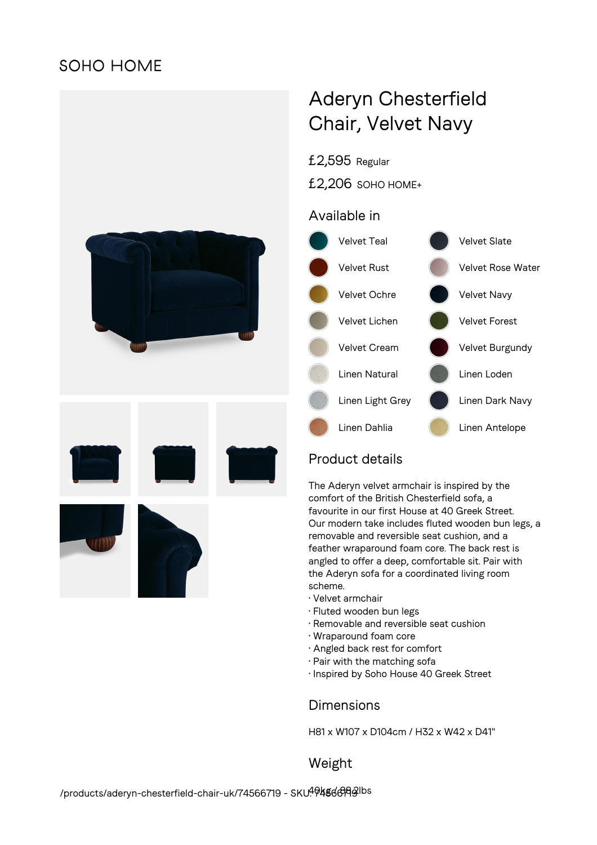## **SOHO HOME**



# Aderyn Chesterfield Chair, Velvet Navy

£2,595 Regular

£2,206 SOHO HOME+

### Available in



## Product details

The Aderyn velvet armchair is inspired by the comfort of the British Chesterfield sofa, a favourite in our first House at 40 Greek Street. Our modern take includes fluted wooden bun legs, a removable and reversible seat cushion, and a feather wraparound foam core. The back rest is angled to offer a deep, comfortable sit. Pair with the Aderyn sofa for a coordinated living room scheme.

- Velvet armchair
- Fluted wooden bun legs
- Removable and reversible seat cushion
- Wraparound foam core
- Angled back rest for comfort
- Pair with the matching sofa
- Inspired by Soho House 40 Greek Street

#### **Dimensions**

H81 x W107 x D104cm / H32 x W42 x D41"

Weight